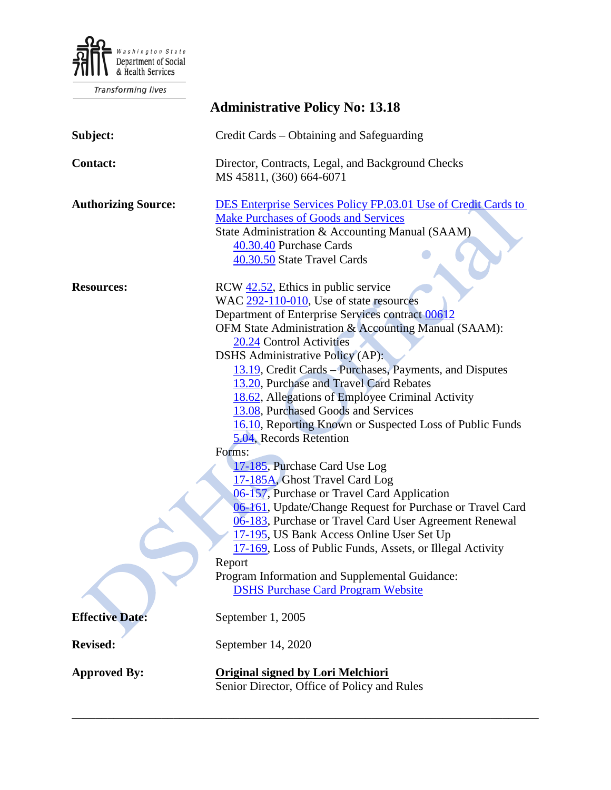

Transforming lives

| <b>Administrative Policy No: 13.18</b> |                                                                                                                                                                                                                                                                                                                                                                                                                                                                                                                                                                                                                                                                                                                                                                                                                                                                                                                                                                                                                                 |
|----------------------------------------|---------------------------------------------------------------------------------------------------------------------------------------------------------------------------------------------------------------------------------------------------------------------------------------------------------------------------------------------------------------------------------------------------------------------------------------------------------------------------------------------------------------------------------------------------------------------------------------------------------------------------------------------------------------------------------------------------------------------------------------------------------------------------------------------------------------------------------------------------------------------------------------------------------------------------------------------------------------------------------------------------------------------------------|
| Subject:                               | Credit Cards – Obtaining and Safeguarding                                                                                                                                                                                                                                                                                                                                                                                                                                                                                                                                                                                                                                                                                                                                                                                                                                                                                                                                                                                       |
| <b>Contact:</b>                        | Director, Contracts, Legal, and Background Checks<br>MS 45811, (360) 664-6071                                                                                                                                                                                                                                                                                                                                                                                                                                                                                                                                                                                                                                                                                                                                                                                                                                                                                                                                                   |
| <b>Authorizing Source:</b>             | <b>DES Enterprise Services Policy FP.03.01 Use of Credit Cards to</b><br><b>Make Purchases of Goods and Services</b><br>State Administration & Accounting Manual (SAAM)<br>40.30.40 Purchase Cards<br>40.30.50 State Travel Cards                                                                                                                                                                                                                                                                                                                                                                                                                                                                                                                                                                                                                                                                                                                                                                                               |
| <b>Resources:</b>                      | RCW 42.52, Ethics in public service<br>WAC 292-110-010, Use of state resources<br>Department of Enterprise Services contract 00612<br>OFM State Administration & Accounting Manual (SAAM):<br>20.24 Control Activities<br><b>DSHS</b> Administrative Policy (AP):<br>13.19, Credit Cards – Purchases, Payments, and Disputes<br>13.20, Purchase and Travel Card Rebates<br>18.62, Allegations of Employee Criminal Activity<br>13.08, Purchased Goods and Services<br>16.10, Reporting Known or Suspected Loss of Public Funds<br>5.04, Records Retention<br>Forms:<br>17-185, Purchase Card Use Log<br>17-185A, Ghost Travel Card Log<br>06-157, Purchase or Travel Card Application<br>06-161, Update/Change Request for Purchase or Travel Card<br>06-183, Purchase or Travel Card User Agreement Renewal<br>17-195, US Bank Access Online User Set Up<br>17-169, Loss of Public Funds, Assets, or Illegal Activity<br>Report<br>Program Information and Supplemental Guidance:<br><b>DSHS Purchase Card Program Website</b> |
| <b>Effective Date:</b>                 | September 1, 2005                                                                                                                                                                                                                                                                                                                                                                                                                                                                                                                                                                                                                                                                                                                                                                                                                                                                                                                                                                                                               |
| <b>Revised:</b>                        | September 14, 2020                                                                                                                                                                                                                                                                                                                                                                                                                                                                                                                                                                                                                                                                                                                                                                                                                                                                                                                                                                                                              |
| <b>Approved By:</b>                    | Original signed by Lori Melchiori<br>Senior Director, Office of Policy and Rules                                                                                                                                                                                                                                                                                                                                                                                                                                                                                                                                                                                                                                                                                                                                                                                                                                                                                                                                                |

\_\_\_\_\_\_\_\_\_\_\_\_\_\_\_\_\_\_\_\_\_\_\_\_\_\_\_\_\_\_\_\_\_\_\_\_\_\_\_\_\_\_\_\_\_\_\_\_\_\_\_\_\_\_\_\_\_\_\_\_\_\_\_\_\_\_\_\_\_\_\_\_\_\_\_\_\_\_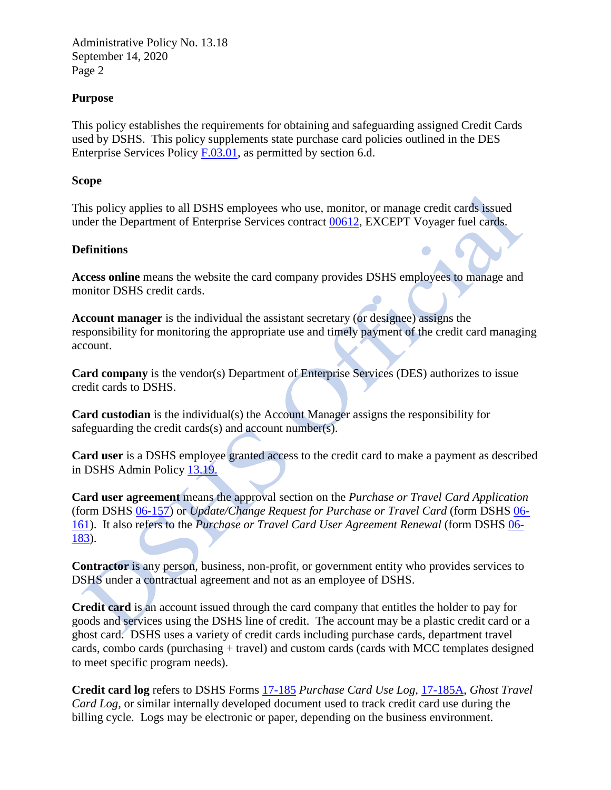## **Purpose**

This policy establishes the requirements for obtaining and safeguarding assigned Credit Cards used by DSHS. This policy supplements state purchase card policies outlined in the DES Enterprise Services Policy [F.03.01,](https://des.wa.gov/sites/default/files/public/documents/Finance/StatewideCardPolicy.pdf) as permitted by section 6.d.

## **Scope**

This policy applies to all DSHS employees who use, monitor, or manage credit cards issued under the Department of Enterprise Services contract [00612,](https://apps.des.wa.gov/DESContracts/Home/ContractSummary/00612) EXCEPT Voyager fuel cards.

## **Definitions**

**Access online** means the website the card company provides DSHS employees to manage and monitor DSHS credit cards.

**Account manager** is the individual the assistant secretary (or designee) assigns the responsibility for monitoring the appropriate use and timely payment of the credit card managing account.

**Card company** is the vendor(s) Department of Enterprise Services (DES) authorizes to issue credit cards to DSHS.

**Card custodian** is the individual(s) the Account Manager assigns the responsibility for safeguarding the credit cards(s) and account number(s).

**Card user** is a DSHS employee granted access to the credit card to make a payment as described in DSHS Admin Policy [13.19.](http://one.dshs.wa.lcl/Policies/Administrative/DSHS-AP-13-19.pdf)

**Card user agreement** means the approval section on the *Purchase or Travel Card Application*  (form DSHS [06-157\)](http://forms.dshs.wa.lcl/formDetails.aspx?ID=8758) or *Update/Change Request for Purchase or Travel Card* (form DSHS [06-](http://forms.dshs.wa.lcl/formDetails.aspx?ID=10033) [161\)](http://forms.dshs.wa.lcl/formDetails.aspx?ID=10033). It also refers to the *Purchase or Travel Card User Agreement Renewal* (form DSHS [06-](http://forms.dshs.wa.lcl/formDetails.aspx?ID=40968) [183\)](http://forms.dshs.wa.lcl/formDetails.aspx?ID=40968).

**Contractor** is any person, business, non-profit, or government entity who provides services to DSHS under a contractual agreement and not as an employee of DSHS.

**Credit card** is an account issued through the card company that entitles the holder to pay for goods and services using the DSHS line of credit. The account may be a plastic credit card or a ghost card. DSHS uses a variety of credit cards including purchase cards, department travel cards, combo cards (purchasing + travel) and custom cards (cards with MCC templates designed to meet specific program needs).

**Credit card log** refers to DSHS Forms [17-185](http://forms.dshs.wa.lcl/formDetails.aspx?ID=9161) *Purchase Card Use Log,* [17-185A,](http://forms.dshs.wa.lcl/formDetails.aspx?ID=31029) *Ghost Travel Card Log,* or similar internally developed document used to track credit card use during the billing cycle. Logs may be electronic or paper, depending on the business environment.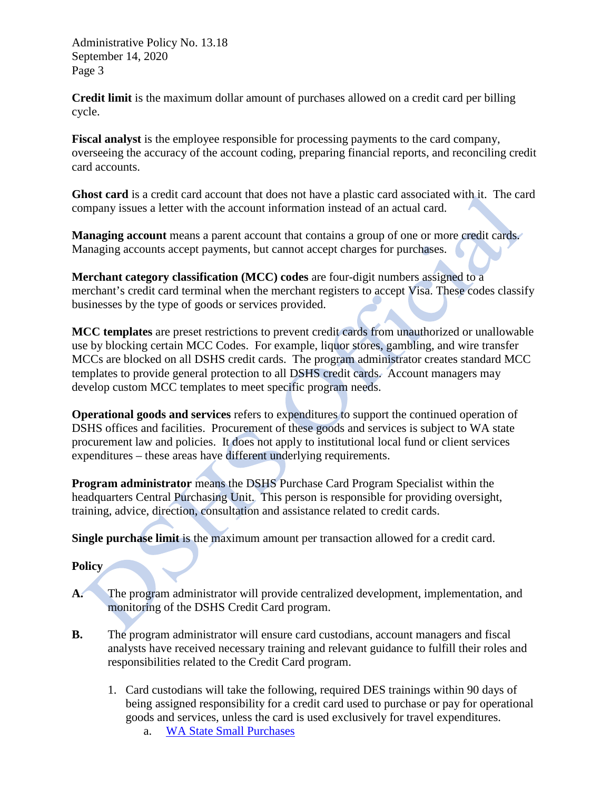**Credit limit** is the maximum dollar amount of purchases allowed on a credit card per billing cycle.

**Fiscal analyst** is the employee responsible for processing payments to the card company, overseeing the accuracy of the account coding, preparing financial reports, and reconciling credit card accounts.

**Ghost card** is a credit card account that does not have a plastic card associated with it. The card company issues a letter with the account information instead of an actual card.

**Managing account** means a parent account that contains a group of one or more credit cards. Managing accounts accept payments, but cannot accept charges for purchases.

**Merchant category classification (MCC) codes** are four-digit numbers assigned to a merchant's credit card terminal when the merchant registers to accept Visa. These codes classify businesses by the type of goods or services provided.

**MCC templates** are preset restrictions to prevent credit cards from unauthorized or unallowable use by blocking certain MCC Codes. For example, liquor stores, gambling, and wire transfer MCCs are blocked on all DSHS credit cards. The program administrator creates standard MCC templates to provide general protection to all DSHS credit cards. Account managers may develop custom MCC templates to meet specific program needs.

**Operational goods and services** refers to expenditures to support the continued operation of DSHS offices and facilities. Procurement of these goods and services is subject to WA state procurement law and policies. It does not apply to institutional local fund or client services expenditures – these areas have different underlying requirements.

**Program administrator** means the DSHS Purchase Card Program Specialist within the headquarters Central Purchasing Unit. This person is responsible for providing oversight, training, advice, direction, consultation and assistance related to credit cards.

**Single purchase limit** is the maximum amount per transaction allowed for a credit card.

## **Policy**

- **A.** The program administrator will provide centralized development, implementation, and monitoring of the DSHS Credit Card program.
- **B.** The program administrator will ensure card custodians, account managers and fiscal analysts have received necessary training and relevant guidance to fulfill their roles and responsibilities related to the Credit Card program.
	- 1. Card custodians will take the following, required DES trainings within 90 days of being assigned responsibility for a credit card used to purchase or pay for operational goods and services, unless the card is used exclusively for travel expenditures.
		- a. [WA State Small Purchases](https://farm.dshs.wa.lcl/LMSSSO/ProcessSSO/?CourseId=22507066795)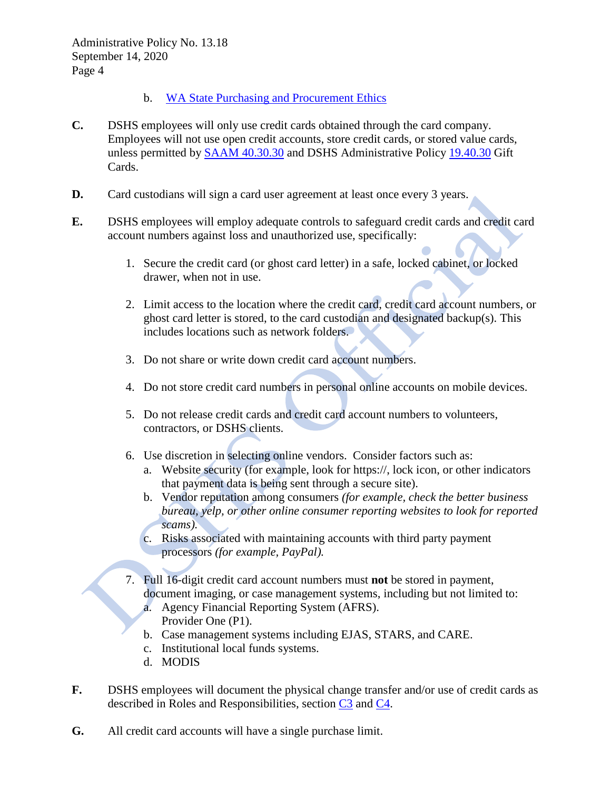- b. [WA State Purchasing and Procurement Ethics](https://farm.dshs.wa.lcl/LMSSSO/ProcessSSO/?CourseId=22507003611)
- **C.** DSHS employees will only use credit cards obtained through the card company. Employees will not use open credit accounts, store credit cards, or stored value cards, unless permitted by [SAAM 40.30.30](https://www.ofm.wa.gov/sites/default/files/public/legacy/policy/40.30.htm#40.30.30) and DSHS Administrative Policy [19.40.30](http://one.dshs.wa.lcl/Policies/Administrative/DSHS-AP-19-40-30.pdf) Gift Cards.
- **D.** Card custodians will sign a card user agreement at least once every 3 years.
- **E.** DSHS employees will employ adequate controls to safeguard credit cards and credit card account numbers against loss and unauthorized use, specifically:
	- 1. Secure the credit card (or ghost card letter) in a safe, locked cabinet, or locked drawer, when not in use.
	- 2. Limit access to the location where the credit card, credit card account numbers, or ghost card letter is stored, to the card custodian and designated backup(s). This includes locations such as network folders.
	- 3. Do not share or write down credit card account numbers.
	- 4. Do not store credit card numbers in personal online accounts on mobile devices.
	- 5. Do not release credit cards and credit card account numbers to volunteers, contractors, or DSHS clients.
	- 6. Use discretion in selecting online vendors. Consider factors such as:
		- a. Website security (for example, look for https://, lock icon, or other indicators that payment data is being sent through a secure site).
		- b. Vendor reputation among consumers *(for example, check the better business bureau, yelp, or other online consumer reporting websites to look for reported scams).*
		- c. Risks associated with maintaining accounts with third party payment processors *(for example, PayPal).*
	- 7. Full 16-digit credit card account numbers must **not** be stored in payment, document imaging, or case management systems, including but not limited to:
		- a. Agency Financial Reporting System (AFRS). Provider One (P1).
		- b. Case management systems including EJAS, STARS, and CARE.
		- c. Institutional local funds systems.
		- d. MODIS
- **F.** DSHS employees will document the physical change transfer and/or use of credit cards as described in Roles and Responsibilities, section [C3](#page-6-0) and [C4.](#page-6-1)
- **G.** All credit card accounts will have a single purchase limit.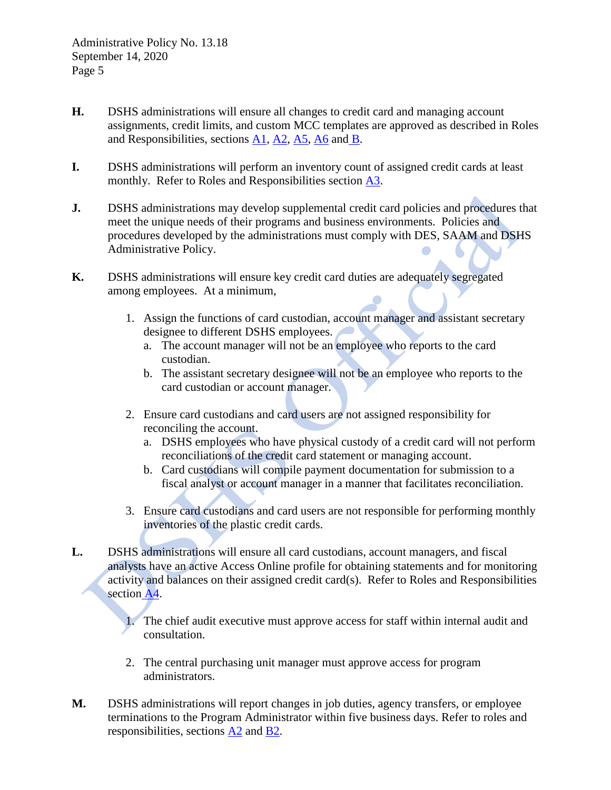- **H.** DSHS administrations will ensure all changes to credit card and managing account assignments, credit limits, and custom MCC templates are approved as described in Roles and Responsibilities, sections [A1,](#page-5-0) [A2,](#page-5-1) [A5,](#page-6-2) [A6](#page-6-3) and [B.](#page-6-4)
- **I.** DSHS administrations will perform an inventory count of assigned credit cards at least monthly. Refer to Roles and Responsibilities section [A3.](#page-5-2)
- **J.** DSHS administrations may develop supplemental credit card policies and procedures that meet the unique needs of their programs and business environments. Policies and procedures developed by the administrations must comply with DES, SAAM and DSHS Administrative Policy.
- **K.** DSHS administrations will ensure key credit card duties are adequately segregated among employees. At a minimum,
	- 1. Assign the functions of card custodian, account manager and assistant secretary designee to different DSHS employees.
		- a. The account manager will not be an employee who reports to the card custodian.
		- b. The assistant secretary designee will not be an employee who reports to the card custodian or account manager.
	- 2. Ensure card custodians and card users are not assigned responsibility for reconciling the account.
		- a. DSHS employees who have physical custody of a credit card will not perform reconciliations of the credit card statement or managing account.
		- b. Card custodians will compile payment documentation for submission to a fiscal analyst or account manager in a manner that facilitates reconciliation.
	- 3. Ensure card custodians and card users are not responsible for performing monthly inventories of the plastic credit cards.
- **L.** DSHS administrations will ensure all card custodians, account managers, and fiscal analysts have an active Access Online profile for obtaining statements and for monitoring activity and balances on their assigned credit card(s). Refer to Roles and Responsibilities section [A4.](#page-6-5)
	- 1. The chief audit executive must approve access for staff within internal audit and consultation.
	- 2. The central purchasing unit manager must approve access for program administrators.
- **M.** DSHS administrations will report changes in job duties, agency transfers, or employee terminations to the Program Administrator within five business days. Refer to roles and responsibilities, sections [A2](#page-5-1) and [B2.](#page-6-6)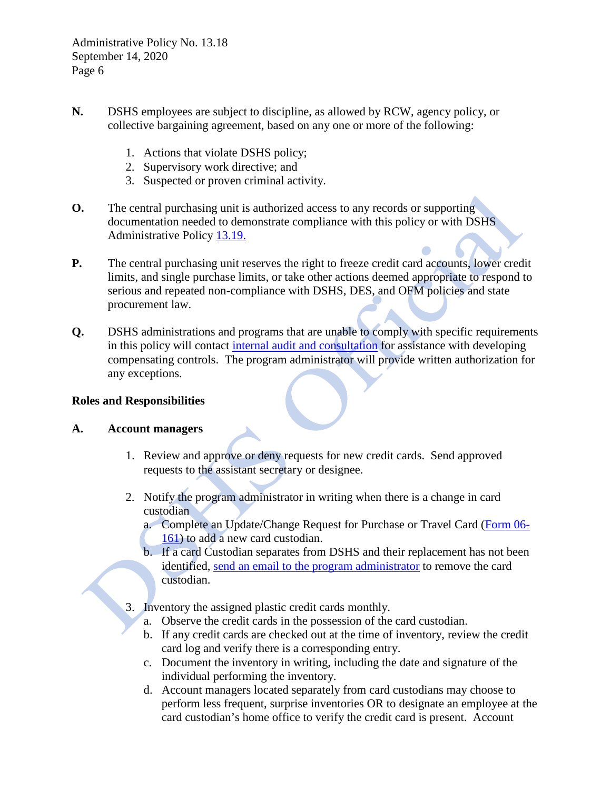- **N.** DSHS employees are subject to discipline, as allowed by RCW, agency policy, or collective bargaining agreement, based on any one or more of the following:
	- 1. Actions that violate DSHS policy;
	- 2. Supervisory work directive; and
	- 3. Suspected or proven criminal activity.
- **O.** The central purchasing unit is authorized access to any records or supporting documentation needed to demonstrate compliance with this policy or with DSHS Administrative Policy [13.19.](http://one.dshs.wa.lcl/Policies/Administrative/DSHS-AP-13-19.pdf)
- **P.** The central purchasing unit reserves the right to freeze credit card accounts, lower credit limits, and single purchase limits, or take other actions deemed appropriate to respond to serious and repeated non-compliance with DSHS, DES, and OFM policies and state procurement law.
- **Q.** DSHS administrations and programs that are unable to comply with specific requirements in this policy will contact [internal audit and consultation](mailto:DSHSORCOperationsReviewandConsultation@dshs.wa.gov) for assistance with developing compensating controls. The program administrator will provide written authorization for any exceptions.

## **Roles and Responsibilities**

## <span id="page-5-0"></span>**A. Account managers**

- 1. Review and approve or deny requests for new credit cards. Send approved requests to the assistant secretary or designee.
- <span id="page-5-1"></span>2. Notify the program administrator in writing when there is a change in card custodian
	- a. Complete an Update/Change Request for Purchase or Travel Card [\(Form 06-](http://forms.dshs.wa.lcl/formDetails.aspx?ID=10033) [161\)](http://forms.dshs.wa.lcl/formDetails.aspx?ID=10033) to add a new card custodian.
	- b. If a card Custodian separates from DSHS and their replacement has not been identified, [send an email to the program administrator](http://one.dshs.wa.lcl/FS/OSS/CPU/PCARDDocumentLibrary/CardCustodianUpdate-Recruiting.msg) to remove the card custodian.
- <span id="page-5-2"></span>3. Inventory the assigned plastic credit cards monthly.
	- a. Observe the credit cards in the possession of the card custodian.
	- b. If any credit cards are checked out at the time of inventory, review the credit card log and verify there is a corresponding entry.
	- c. Document the inventory in writing, including the date and signature of the individual performing the inventory.
	- d. Account managers located separately from card custodians may choose to perform less frequent, surprise inventories OR to designate an employee at the card custodian's home office to verify the credit card is present. Account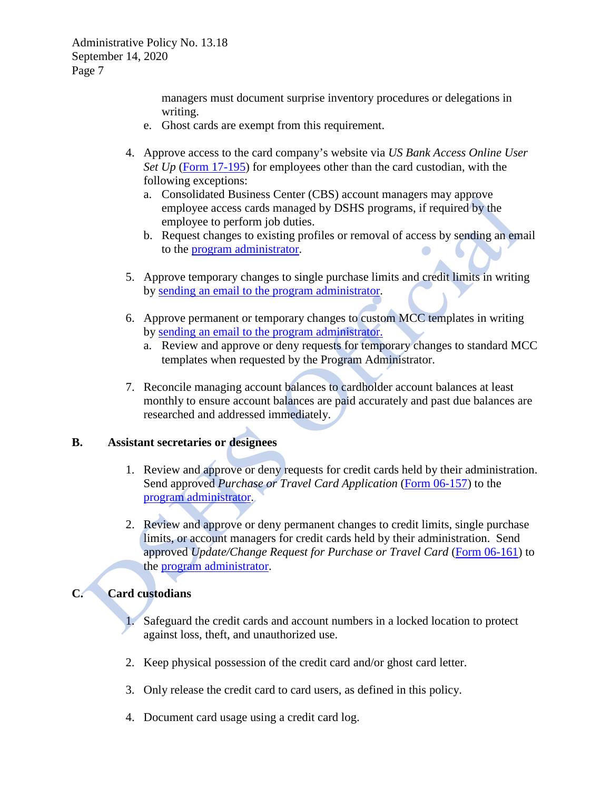> managers must document surprise inventory procedures or delegations in writing.

- e. Ghost cards are exempt from this requirement.
- <span id="page-6-5"></span>4. Approve access to the card company's website via *US Bank Access Online User Set Up* (Form [17-195\)](http://forms.dshs.wa.lcl/formDetails.aspx?ID=10323) for employees other than the card custodian, with the following exceptions:
	- a. Consolidated Business Center (CBS) account managers may approve employee access cards managed by DSHS programs, if required by the employee to perform job duties.
	- b. Request changes to existing profiles or removal of access by sending an email to the [program administrator.](mailto:pcard@dshs.wa.gov)  $\blacksquare$
- <span id="page-6-2"></span>5. Approve temporary changes to single purchase limits and credit limits in writing by [sending an email to the program](http://one.dshs.wa.lcl/FS/OSS/CPU/PCARDDocumentLibrary/TempLimitIncrease.msg) administrator.
- <span id="page-6-3"></span>6. Approve permanent or temporary changes to custom MCC templates in writing by [sending an email to the program](http://one.dshs.wa.lcl/FS/OSS/CPU/PCARDDocumentLibrary/MCCOverride.msg) administrator.
	- a. Review and approve or deny requests for temporary changes to standard MCC templates when requested by the Program Administrator.
- 7. Reconcile managing account balances to cardholder account balances at least monthly to ensure account balances are paid accurately and past due balances are researched and addressed immediately.

#### <span id="page-6-4"></span>**B. Assistant secretaries or designees**

- 1. Review and approve or deny requests for credit cards held by their administration. Send approved *Purchase or Travel Card Application* [\(Form 06-157\)](http://forms.dshs.wa.lcl/formDetails.aspx?ID=8758) to the [program administrator.](mailto:pcard@dshs.wa.gov)
- <span id="page-6-6"></span>2. Review and approve or deny permanent changes to credit limits, single purchase limits, or account managers for credit cards held by their administration. Send approved *Update/Change Request for Purchase or Travel Card* (Form [06-161\)](http://forms.dshs.wa.lcl/formDetails.aspx?ID=10033) to the program [administrator.](mailto:pcard@dshs.wa.gov)

# **C. Card custodians**

- 1. Safeguard the credit cards and account numbers in a locked location to protect against loss, theft, and unauthorized use.
- 2. Keep physical possession of the credit card and/or ghost card letter.
- <span id="page-6-0"></span>3. Only release the credit card to card users, as defined in this policy.
- <span id="page-6-1"></span>4. Document card usage using a credit card log.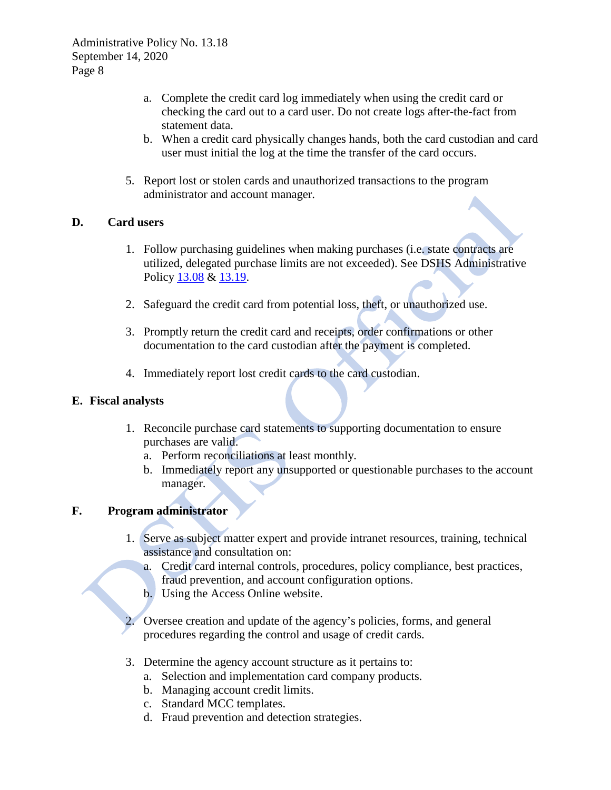- a. Complete the credit card log immediately when using the credit card or checking the card out to a card user. Do not create logs after-the-fact from statement data.
- b. When a credit card physically changes hands, both the card custodian and card user must initial the log at the time the transfer of the card occurs.
- 5. Report lost or stolen cards and unauthorized transactions to the program administrator and account manager.

## **D. Card users**

- 1. Follow purchasing guidelines when making purchases (i.e. state contracts are utilized, delegated purchase limits are not exceeded). See DSHS Administrative Policy [13.08](http://one.dshs.wa.lcl/Policies/Administrative/DSHS-AP-13-08.pdf) & [13.19.](http://one.dshs.wa.lcl/Policies/Administrative/DSHS-AP-13-19.pdf)
- 2. Safeguard the credit card from potential loss, theft, or unauthorized use.
- 3. Promptly return the credit card and receipts, order confirmations or other documentation to the card custodian after the payment is completed.
- 4. Immediately report lost credit cards to the card custodian.

## **E. Fiscal analysts**

- 1. Reconcile purchase card statements to supporting documentation to ensure purchases are valid.
	- a. Perform reconciliations at least monthly.
	- b. Immediately report any unsupported or questionable purchases to the account manager.

# **F. Program administrator**

- 1. Serve as subject matter expert and provide intranet resources, training, technical assistance and consultation on:
	- a. Credit card internal controls, procedures, policy compliance, best practices, fraud prevention, and account configuration options.
	- b. Using the Access Online website.
- Oversee creation and update of the agency's policies, forms, and general procedures regarding the control and usage of credit cards.
- 3. Determine the agency account structure as it pertains to:
	- a. Selection and implementation card company products.
	- b. Managing account credit limits.
	- c. Standard MCC templates.
	- d. Fraud prevention and detection strategies.